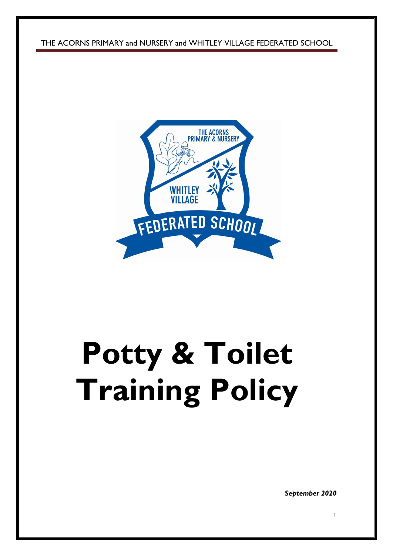THE ACORNS PRIMARY and NURSERY and WHITLEY VILLAGE FEDERATED SCHOOL



# **Potty & Toilet Training Policy**

*September 2020*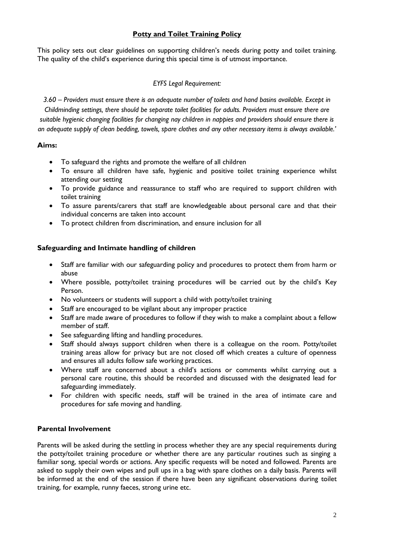## **Potty and Toilet Training Policy**

This policy sets out clear guidelines on supporting children's needs during potty and toilet training. The quality of the child's experience during this special time is of utmost importance.

#### *EYFS Legal Requirement:*

*3.60 – Providers must ensure there is an adequate number of toilets and hand basins available. Except in Childminding settings, there should be separate toilet facilities for adults. Providers must ensure there are suitable hygienic changing facilities for changing nay children in nappies and providers should ensure there is an adequate supply of clean bedding, towels, spare clothes and any other necessary items is always available.'*

#### **Aims:**

- To safeguard the rights and promote the welfare of all children
- To ensure all children have safe, hygienic and positive toilet training experience whilst attending our setting
- To provide guidance and reassurance to staff who are required to support children with toilet training
- To assure parents/carers that staff are knowledgeable about personal care and that their individual concerns are taken into account
- To protect children from discrimination, and ensure inclusion for all

#### **Safeguarding and Intimate handling of children**

- Staff are familiar with our safeguarding policy and procedures to protect them from harm or abuse
- Where possible, potty/toilet training procedures will be carried out by the child's Key Person.
- No volunteers or students will support a child with potty/toilet training
- Staff are encouraged to be vigilant about any improper practice
- Staff are made aware of procedures to follow if they wish to make a complaint about a fellow member of staff.
- See safeguarding lifting and handling procedures.
- Staff should always support children when there is a colleague on the room. Potty/toilet training areas allow for privacy but are not closed off which creates a culture of openness and ensures all adults follow safe working practices.
- Where staff are concerned about a child's actions or comments whilst carrying out a personal care routine, this should be recorded and discussed with the designated lead for safeguarding immediately.
- For children with specific needs, staff will be trained in the area of intimate care and procedures for safe moving and handling.

#### **Parental Involvement**

Parents will be asked during the settling in process whether they are any special requirements during the potty/toilet training procedure or whether there are any particular routines such as singing a familiar song, special words or actions. Any specific requests will be noted and followed. Parents are asked to supply their own wipes and pull ups in a bag with spare clothes on a daily basis. Parents will be informed at the end of the session if there have been any significant observations during toilet training, for example, runny faeces, strong urine etc.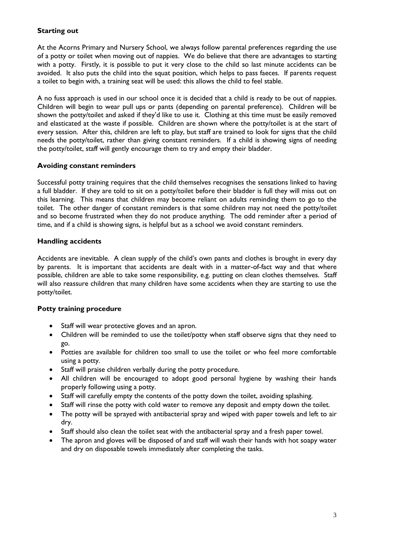### **Starting out**

At the Acorns Primary and Nursery School, we always follow parental preferences regarding the use of a potty or toilet when moving out of nappies. We do believe that there are advantages to starting with a potty. Firstly, it is possible to put it very close to the child so last minute accidents can be avoided. It also puts the child into the squat position, which helps to pass faeces. If parents request a toilet to begin with, a training seat will be used: this allows the child to feel stable.

A no fuss approach is used in our school once it is decided that a child is ready to be out of nappies. Children will begin to wear pull ups or pants (depending on parental preference). Children will be shown the potty/toilet and asked if they'd like to use it. Clothing at this time must be easily removed and elasticated at the waste if possible. Children are shown where the potty/toilet is at the start of every session. After this, children are left to play, but staff are trained to look for signs that the child needs the potty/toilet, rather than giving constant reminders. If a child is showing signs of needing the potty/toilet, staff will gently encourage them to try and empty their bladder.

#### **Avoiding constant reminders**

Successful potty training requires that the child themselves recognises the sensations linked to having a full bladder. If they are told to sit on a potty/toilet before their bladder is full they will miss out on this learning. This means that children may become reliant on adults reminding them to go to the toilet. The other danger of constant reminders is that some children may not need the potty/toilet and so become frustrated when they do not produce anything. The odd reminder after a period of time, and if a child is showing signs, is helpful but as a school we avoid constant reminders.

#### **Handling accidents**

Accidents are inevitable. A clean supply of the child's own pants and clothes is brought in every day by parents. It is important that accidents are dealt with in a matter-of-fact way and that where possible, children are able to take some responsibility, e.g. putting on clean clothes themselves. Staff will also reassure children that many children have some accidents when they are starting to use the potty/toilet.

#### **Potty training procedure**

- Staff will wear protective gloves and an apron.
- Children will be reminded to use the toilet/potty when staff observe signs that they need to go.
- Potties are available for children too small to use the toilet or who feel more comfortable using a potty.
- Staff will praise children verbally during the potty procedure.
- All children will be encouraged to adopt good personal hygiene by washing their hands properly following using a potty.
- Staff will carefully empty the contents of the potty down the toilet, avoiding splashing.
- Staff will rinse the potty with cold water to remove any deposit and empty down the toilet.
- The potty will be sprayed with antibacterial spray and wiped with paper towels and left to air dry.
- Staff should also clean the toilet seat with the antibacterial spray and a fresh paper towel.
- The apron and gloves will be disposed of and staff will wash their hands with hot soapy water and dry on disposable towels immediately after completing the tasks.